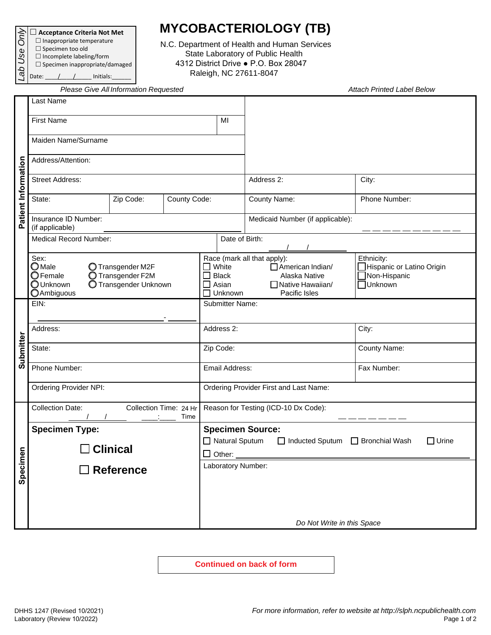**Acceptance Criteria Not Met**

- $\Box$  Inappropriate temperature
- $\square$  Specimen too old  $\square$  Incomplete labeling/form
- $\square$  Specimen inappropriate/damaged Date:  $\angle$  /  $\angle$  Initials: *Lab Use Only*

**MYCOBACTERIOLOGY (TB)**

N.C. Department of Health and Human Services State Laboratory of Public Health 4312 District Drive ● P.O. Box 28047 Raleigh, NC 27611-8047

*Please Give All Information Requested Attach Printed Label Below*

|                     | r icasc Oive All Information Requested                                                                                                                       |  |                                                                        |                                                                                                                                                                                                                    |                                  |                           |  |
|---------------------|--------------------------------------------------------------------------------------------------------------------------------------------------------------|--|------------------------------------------------------------------------|--------------------------------------------------------------------------------------------------------------------------------------------------------------------------------------------------------------------|----------------------------------|---------------------------|--|
|                     | Last Name                                                                                                                                                    |  |                                                                        |                                                                                                                                                                                                                    |                                  |                           |  |
|                     | <b>First Name</b>                                                                                                                                            |  |                                                                        | MI                                                                                                                                                                                                                 |                                  |                           |  |
|                     | Maiden Name/Surname                                                                                                                                          |  |                                                                        |                                                                                                                                                                                                                    |                                  |                           |  |
|                     | Address/Attention:                                                                                                                                           |  |                                                                        |                                                                                                                                                                                                                    |                                  |                           |  |
| Patient Information | <b>Street Address:</b>                                                                                                                                       |  |                                                                        |                                                                                                                                                                                                                    | Address 2:                       | City:                     |  |
|                     | State:<br>Zip Code:<br>County Code:                                                                                                                          |  |                                                                        |                                                                                                                                                                                                                    | County Name:                     | Phone Number:             |  |
|                     | Insurance ID Number:<br>(if applicable)                                                                                                                      |  |                                                                        |                                                                                                                                                                                                                    | Medicaid Number (if applicable): |                           |  |
|                     | <b>Medical Record Number:</b>                                                                                                                                |  |                                                                        |                                                                                                                                                                                                                    | Date of Birth:                   |                           |  |
|                     | Sex:<br>$\bigcirc$ Male<br>O Transgender M2F<br><b>O</b> Female<br>O Transgender F2M<br><b>OUnknown</b><br><b>O</b> Transgender Unknown<br><b>OAmbiguous</b> |  |                                                                        | Race (mark all that apply):<br>Ethnicity:<br>$\Box$ White<br>American Indian/<br>$\Box$ Non-Hispanic<br>Alaska Native<br><b>Black</b><br>□ Native Hawaiian/<br><b>Unknown</b><br>Asian<br>Unknown<br>Pacific Isles |                                  | Hispanic or Latino Origin |  |
|                     | EIN:                                                                                                                                                         |  |                                                                        | <b>Submitter Name:</b>                                                                                                                                                                                             |                                  |                           |  |
|                     | Address:                                                                                                                                                     |  |                                                                        | Address 2:                                                                                                                                                                                                         |                                  | City:                     |  |
| Submitter           | State:                                                                                                                                                       |  |                                                                        | Zip Code:                                                                                                                                                                                                          |                                  | County Name:              |  |
|                     | Phone Number:                                                                                                                                                |  |                                                                        | Email Address:                                                                                                                                                                                                     |                                  | Fax Number:               |  |
|                     | <b>Ordering Provider NPI:</b>                                                                                                                                |  |                                                                        | Ordering Provider First and Last Name:                                                                                                                                                                             |                                  |                           |  |
|                     | <b>Collection Date:</b><br>Collection Time: 24 Hr<br>Time                                                                                                    |  | Reason for Testing (ICD-10 Dx Code):                                   |                                                                                                                                                                                                                    |                                  |                           |  |
|                     | <b>Specimen Type:</b>                                                                                                                                        |  |                                                                        |                                                                                                                                                                                                                    | <b>Specimen Source:</b>          |                           |  |
|                     | <b>Clinical</b>                                                                                                                                              |  | □ Natural Sputum<br>□ Inducted Sputum □ Bronchial Wash<br>$\Box$ Urine |                                                                                                                                                                                                                    |                                  |                           |  |
|                     |                                                                                                                                                              |  |                                                                        | $\Box$ Other:                                                                                                                                                                                                      |                                  |                           |  |
| Specimen            | $\Box$ Reference                                                                                                                                             |  |                                                                        | Laboratory Number:                                                                                                                                                                                                 |                                  |                           |  |
|                     |                                                                                                                                                              |  |                                                                        |                                                                                                                                                                                                                    |                                  |                           |  |
|                     |                                                                                                                                                              |  |                                                                        |                                                                                                                                                                                                                    |                                  |                           |  |
|                     |                                                                                                                                                              |  | Do Not Write in this Space                                             |                                                                                                                                                                                                                    |                                  |                           |  |

**Continued on back of form**